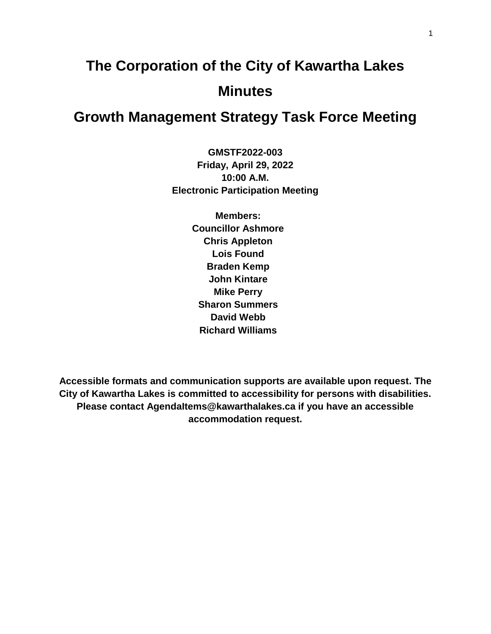# **The Corporation of the City of Kawartha Lakes Minutes**

# **Growth Management Strategy Task Force Meeting**

**GMSTF2022-003 Friday, April 29, 2022 10:00 A.M. Electronic Participation Meeting**

> **Members: Councillor Ashmore Chris Appleton Lois Found Braden Kemp John Kintare Mike Perry Sharon Summers David Webb Richard Williams**

**Accessible formats and communication supports are available upon request. The City of Kawartha Lakes is committed to accessibility for persons with disabilities. Please contact AgendaItems@kawarthalakes.ca if you have an accessible accommodation request.**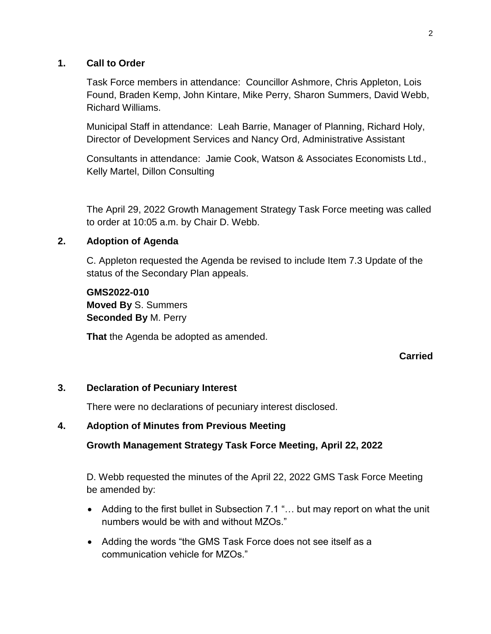#### **1. Call to Order**

Task Force members in attendance: Councillor Ashmore, Chris Appleton, Lois Found, Braden Kemp, John Kintare, Mike Perry, Sharon Summers, David Webb, Richard Williams.

Municipal Staff in attendance: Leah Barrie, Manager of Planning, Richard Holy, Director of Development Services and Nancy Ord, Administrative Assistant

Consultants in attendance: Jamie Cook, Watson & Associates Economists Ltd., Kelly Martel, Dillon Consulting

The April 29, 2022 Growth Management Strategy Task Force meeting was called to order at 10:05 a.m. by Chair D. Webb.

# **2. Adoption of Agenda**

C. Appleton requested the Agenda be revised to include Item 7.3 Update of the status of the Secondary Plan appeals.

**GMS2022-010 Moved By** S. Summers **Seconded By** M. Perry

**That** the Agenda be adopted as amended.

# **Carried**

# **3. Declaration of Pecuniary Interest**

There were no declarations of pecuniary interest disclosed.

# **4. Adoption of Minutes from Previous Meeting**

# **Growth Management Strategy Task Force Meeting, April 22, 2022**

D. Webb requested the minutes of the April 22, 2022 GMS Task Force Meeting be amended by:

- Adding to the first bullet in Subsection 7.1 "… but may report on what the unit numbers would be with and without MZOs."
- Adding the words "the GMS Task Force does not see itself as a communication vehicle for MZOs."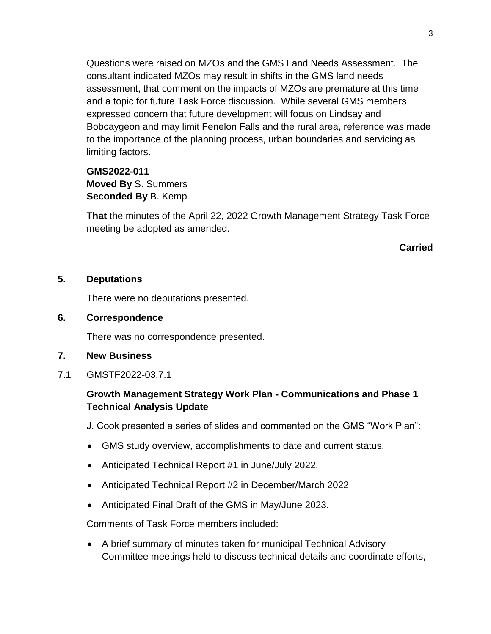Questions were raised on MZOs and the GMS Land Needs Assessment. The consultant indicated MZOs may result in shifts in the GMS land needs assessment, that comment on the impacts of MZOs are premature at this time and a topic for future Task Force discussion. While several GMS members expressed concern that future development will focus on Lindsay and Bobcaygeon and may limit Fenelon Falls and the rural area, reference was made to the importance of the planning process, urban boundaries and servicing as limiting factors.

**GMS2022-011 Moved By** S. Summers **Seconded By** B. Kemp

**That** the minutes of the April 22, 2022 Growth Management Strategy Task Force meeting be adopted as amended.

#### **Carried**

#### **5. Deputations**

There were no deputations presented.

**6. Correspondence**

There was no correspondence presented.

- **7. New Business**
- 7.1 GMSTF2022-03.7.1

# **Growth Management Strategy Work Plan - Communications and Phase 1 Technical Analysis Update**

J. Cook presented a series of slides and commented on the GMS "Work Plan":

- GMS study overview, accomplishments to date and current status.
- Anticipated Technical Report #1 in June/July 2022.
- Anticipated Technical Report #2 in December/March 2022
- Anticipated Final Draft of the GMS in May/June 2023.

Comments of Task Force members included:

 A brief summary of minutes taken for municipal Technical Advisory Committee meetings held to discuss technical details and coordinate efforts,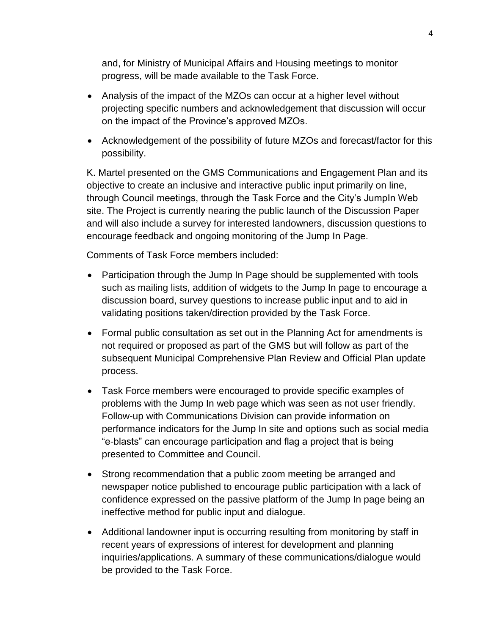and, for Ministry of Municipal Affairs and Housing meetings to monitor progress, will be made available to the Task Force.

- Analysis of the impact of the MZOs can occur at a higher level without projecting specific numbers and acknowledgement that discussion will occur on the impact of the Province's approved MZOs.
- Acknowledgement of the possibility of future MZOs and forecast/factor for this possibility.

K. Martel presented on the GMS Communications and Engagement Plan and its objective to create an inclusive and interactive public input primarily on line, through Council meetings, through the Task Force and the City's JumpIn Web site. The Project is currently nearing the public launch of the Discussion Paper and will also include a survey for interested landowners, discussion questions to encourage feedback and ongoing monitoring of the Jump In Page.

Comments of Task Force members included:

- Participation through the Jump In Page should be supplemented with tools such as mailing lists, addition of widgets to the Jump In page to encourage a discussion board, survey questions to increase public input and to aid in validating positions taken/direction provided by the Task Force.
- Formal public consultation as set out in the Planning Act for amendments is not required or proposed as part of the GMS but will follow as part of the subsequent Municipal Comprehensive Plan Review and Official Plan update process.
- Task Force members were encouraged to provide specific examples of problems with the Jump In web page which was seen as not user friendly. Follow-up with Communications Division can provide information on performance indicators for the Jump In site and options such as social media "e-blasts" can encourage participation and flag a project that is being presented to Committee and Council.
- Strong recommendation that a public zoom meeting be arranged and newspaper notice published to encourage public participation with a lack of confidence expressed on the passive platform of the Jump In page being an ineffective method for public input and dialogue.
- Additional landowner input is occurring resulting from monitoring by staff in recent years of expressions of interest for development and planning inquiries/applications. A summary of these communications/dialogue would be provided to the Task Force.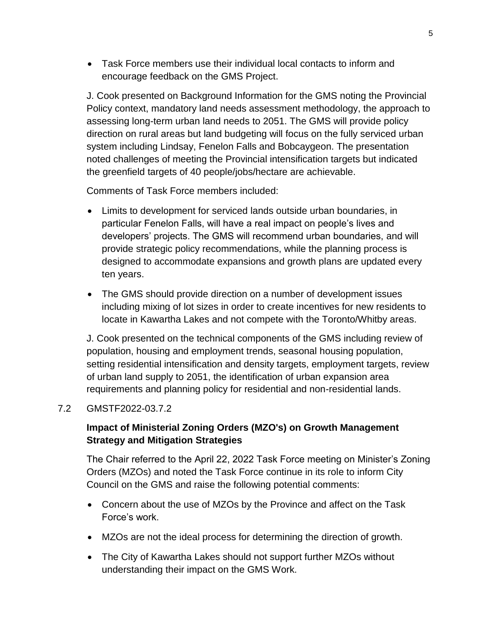Task Force members use their individual local contacts to inform and encourage feedback on the GMS Project.

J. Cook presented on Background Information for the GMS noting the Provincial Policy context, mandatory land needs assessment methodology, the approach to assessing long-term urban land needs to 2051. The GMS will provide policy direction on rural areas but land budgeting will focus on the fully serviced urban system including Lindsay, Fenelon Falls and Bobcaygeon. The presentation noted challenges of meeting the Provincial intensification targets but indicated the greenfield targets of 40 people/jobs/hectare are achievable.

Comments of Task Force members included:

- Limits to development for serviced lands outside urban boundaries, in particular Fenelon Falls, will have a real impact on people's lives and developers' projects. The GMS will recommend urban boundaries, and will provide strategic policy recommendations, while the planning process is designed to accommodate expansions and growth plans are updated every ten years.
- The GMS should provide direction on a number of development issues including mixing of lot sizes in order to create incentives for new residents to locate in Kawartha Lakes and not compete with the Toronto/Whitby areas.

J. Cook presented on the technical components of the GMS including review of population, housing and employment trends, seasonal housing population, setting residential intensification and density targets, employment targets, review of urban land supply to 2051, the identification of urban expansion area requirements and planning policy for residential and non-residential lands.

#### 7.2 GMSTF2022-03.7.2

# **Impact of Ministerial Zoning Orders (MZO's) on Growth Management Strategy and Mitigation Strategies**

The Chair referred to the April 22, 2022 Task Force meeting on Minister's Zoning Orders (MZOs) and noted the Task Force continue in its role to inform City Council on the GMS and raise the following potential comments:

- Concern about the use of MZOs by the Province and affect on the Task Force's work.
- MZOs are not the ideal process for determining the direction of growth.
- The City of Kawartha Lakes should not support further MZOs without understanding their impact on the GMS Work.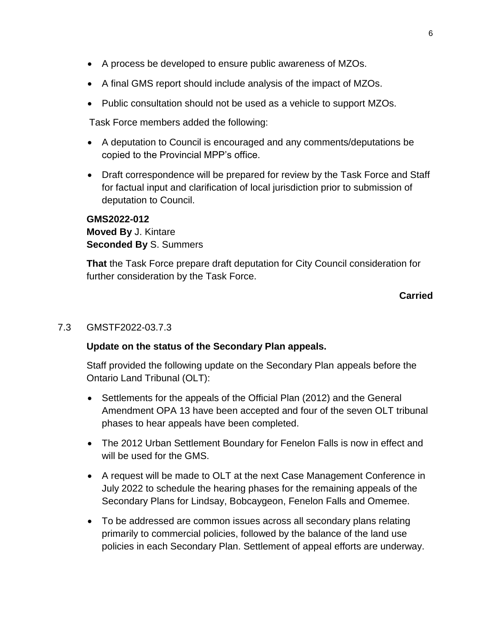- A process be developed to ensure public awareness of MZOs.
- A final GMS report should include analysis of the impact of MZOs.
- Public consultation should not be used as a vehicle to support MZOs.

Task Force members added the following:

- A deputation to Council is encouraged and any comments/deputations be copied to the Provincial MPP's office.
- Draft correspondence will be prepared for review by the Task Force and Staff for factual input and clarification of local jurisdiction prior to submission of deputation to Council.

# **GMS2022-012 Moved By** J. Kintare **Seconded By** S. Summers

**That** the Task Force prepare draft deputation for City Council consideration for further consideration by the Task Force.

#### **Carried**

#### 7.3 GMSTF2022-03.7.3

#### **Update on the status of the Secondary Plan appeals.**

Staff provided the following update on the Secondary Plan appeals before the Ontario Land Tribunal (OLT):

- Settlements for the appeals of the Official Plan (2012) and the General Amendment OPA 13 have been accepted and four of the seven OLT tribunal phases to hear appeals have been completed.
- The 2012 Urban Settlement Boundary for Fenelon Falls is now in effect and will be used for the GMS.
- A request will be made to OLT at the next Case Management Conference in July 2022 to schedule the hearing phases for the remaining appeals of the Secondary Plans for Lindsay, Bobcaygeon, Fenelon Falls and Omemee.
- To be addressed are common issues across all secondary plans relating primarily to commercial policies, followed by the balance of the land use policies in each Secondary Plan. Settlement of appeal efforts are underway.